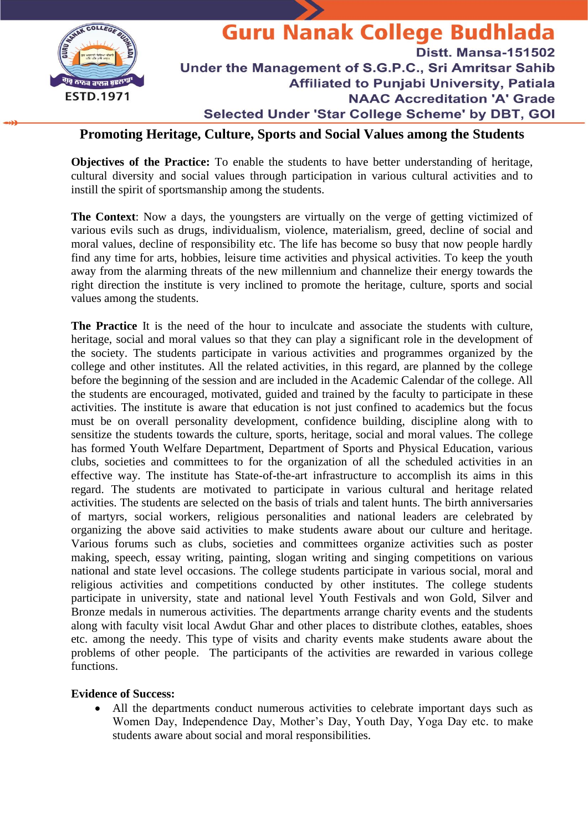

## **Promoting Heritage, Culture, Sports and Social Values among the Students**

**Objectives of the Practice:** To enable the students to have better understanding of heritage, cultural diversity and social values through participation in various cultural activities and to instill the spirit of sportsmanship among the students.

**The Context**: Now a days, the youngsters are virtually on the verge of getting victimized of various evils such as drugs, individualism, violence, materialism, greed, decline of social and moral values, decline of responsibility etc. The life has become so busy that now people hardly find any time for arts, hobbies, leisure time activities and physical activities. To keep the youth away from the alarming threats of the new millennium and channelize their energy towards the right direction the institute is very inclined to promote the heritage, culture, sports and social values among the students.

**The Practice** It is the need of the hour to inculcate and associate the students with culture, heritage, social and moral values so that they can play a significant role in the development of the society. The students participate in various activities and programmes organized by the college and other institutes. All the related activities, in this regard, are planned by the college before the beginning of the session and are included in the Academic Calendar of the college. All the students are encouraged, motivated, guided and trained by the faculty to participate in these activities. The institute is aware that education is not just confined to academics but the focus must be on overall personality development, confidence building, discipline along with to sensitize the students towards the culture, sports, heritage, social and moral values. The college has formed Youth Welfare Department, Department of Sports and Physical Education, various clubs, societies and committees to for the organization of all the scheduled activities in an effective way. The institute has State-of-the-art infrastructure to accomplish its aims in this regard. The students are motivated to participate in various cultural and heritage related activities. The students are selected on the basis of trials and talent hunts. The birth anniversaries of martyrs, social workers, religious personalities and national leaders are celebrated by organizing the above said activities to make students aware about our culture and heritage. Various forums such as clubs, societies and committees organize activities such as poster making, speech, essay writing, painting, slogan writing and singing competitions on various national and state level occasions. The college students participate in various social, moral and religious activities and competitions conducted by other institutes. The college students participate in university, state and national level Youth Festivals and won Gold, Silver and Bronze medals in numerous activities. The departments arrange charity events and the students along with faculty visit local Awdut Ghar and other places to distribute clothes, eatables, shoes etc. among the needy. This type of visits and charity events make students aware about the problems of other people. The participants of the activities are rewarded in various college functions.

## **Evidence of Success:**

• All the departments conduct numerous activities to celebrate important days such as Women Day, Independence Day, Mother's Day, Youth Day, Yoga Day etc. to make students aware about social and moral responsibilities.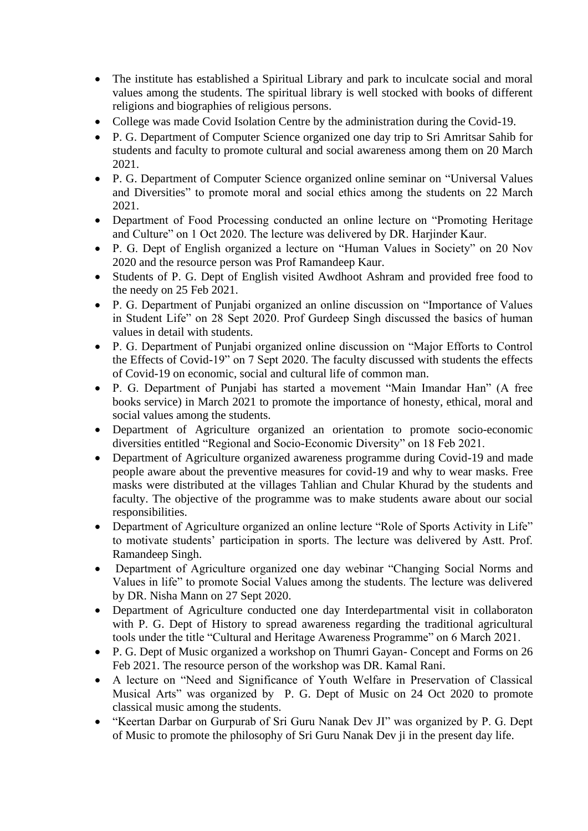- The institute has established a Spiritual Library and park to inculcate social and moral values among the students. The spiritual library is well stocked with books of different religions and biographies of religious persons.
- College was made Covid Isolation Centre by the administration during the Covid-19.
- P. G. Department of Computer Science organized one day trip to Sri Amritsar Sahib for students and faculty to promote cultural and social awareness among them on 20 March 2021.
- P. G. Department of Computer Science organized online seminar on "Universal Values and Diversities" to promote moral and social ethics among the students on 22 March 2021.
- Department of Food Processing conducted an online lecture on "Promoting Heritage and Culture" on 1 Oct 2020. The lecture was delivered by DR. Harjinder Kaur.
- P. G. Dept of English organized a lecture on "Human Values in Society" on 20 Nov 2020 and the resource person was Prof Ramandeep Kaur.
- Students of P. G. Dept of English visited Awdhoot Ashram and provided free food to the needy on 25 Feb 2021.
- P. G. Department of Punjabi organized an online discussion on "Importance of Values in Student Life" on 28 Sept 2020. Prof Gurdeep Singh discussed the basics of human values in detail with students.
- P. G. Department of Punjabi organized online discussion on "Major Efforts to Control the Effects of Covid-19" on 7 Sept 2020. The faculty discussed with students the effects of Covid-19 on economic, social and cultural life of common man.
- P. G. Department of Punjabi has started a movement "Main Imandar Han" (A free books service) in March 2021 to promote the importance of honesty, ethical, moral and social values among the students.
- Department of Agriculture organized an orientation to promote socio-economic diversities entitled "Regional and Socio-Economic Diversity" on 18 Feb 2021.
- Department of Agriculture organized awareness programme during Covid-19 and made people aware about the preventive measures for covid-19 and why to wear masks. Free masks were distributed at the villages Tahlian and Chular Khurad by the students and faculty. The objective of the programme was to make students aware about our social responsibilities.
- Department of Agriculture organized an online lecture "Role of Sports Activity in Life" to motivate students' participation in sports. The lecture was delivered by Astt. Prof. Ramandeep Singh.
- Department of Agriculture organized one day webinar "Changing Social Norms and Values in life" to promote Social Values among the students. The lecture was delivered by DR. Nisha Mann on 27 Sept 2020.
- Department of Agriculture conducted one day Interdepartmental visit in collaboraton with P. G. Dept of History to spread awareness regarding the traditional agricultural tools under the title "Cultural and Heritage Awareness Programme" on 6 March 2021.
- P. G. Dept of Music organized a workshop on Thumri Gayan- Concept and Forms on 26 Feb 2021. The resource person of the workshop was DR. Kamal Rani.
- A lecture on "Need and Significance of Youth Welfare in Preservation of Classical Musical Arts" was organized by P. G. Dept of Music on 24 Oct 2020 to promote classical music among the students.
- "Keertan Darbar on Gurpurab of Sri Guru Nanak Dev JI" was organized by P. G. Dept of Music to promote the philosophy of Sri Guru Nanak Dev ji in the present day life.